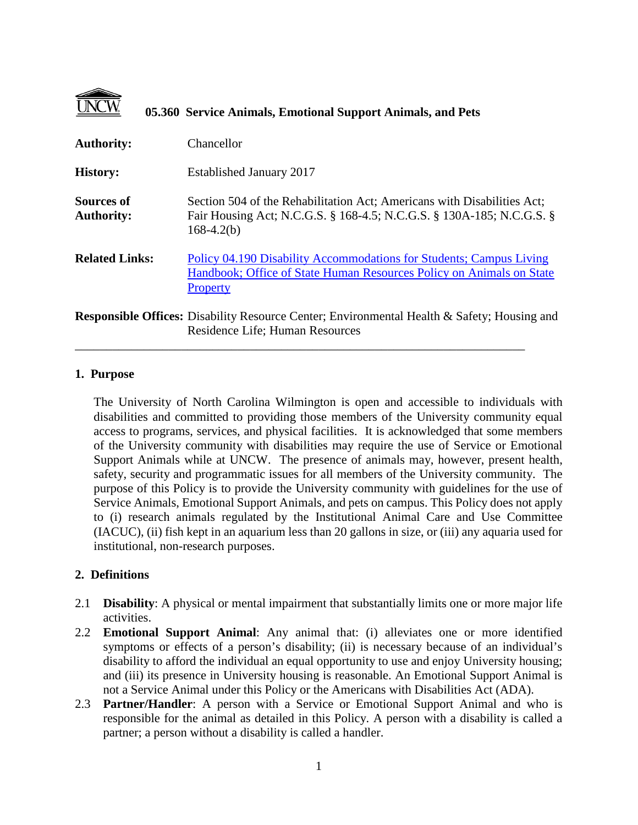|                                        | 05.360 Service Animals, Emotional Support Animals, and Pets                                                                                                      |
|----------------------------------------|------------------------------------------------------------------------------------------------------------------------------------------------------------------|
| <b>Authority:</b>                      | Chancellor                                                                                                                                                       |
| <b>History:</b>                        | Established January 2017                                                                                                                                         |
| <b>Sources of</b><br><b>Authority:</b> | Section 504 of the Rehabilitation Act; Americans with Disabilities Act;<br>Fair Housing Act; N.C.G.S. § 168-4.5; N.C.G.S. § 130A-185; N.C.G.S. §<br>$168-4.2(b)$ |
| <b>Related Links:</b>                  | Policy 04.190 Disability Accommodations for Students; Campus Living<br>Handbook; Office of State Human Resources Policy on Animals on State<br>Property          |
|                                        | <b>Responsible Offices:</b> Disability Resource Center; Environmental Health & Safety; Housing and<br>Residence Life; Human Resources                            |

\_\_\_\_\_\_\_\_\_\_\_\_\_\_\_\_\_\_\_\_\_\_\_\_\_\_\_\_\_\_\_\_\_\_\_\_\_\_\_\_\_\_\_\_\_\_\_\_\_\_\_\_\_\_\_\_\_\_\_\_\_\_\_\_\_\_\_\_\_\_\_\_

## **1. Purpose**

The University of North Carolina Wilmington is open and accessible to individuals with disabilities and committed to providing those members of the University community equal access to programs, services, and physical facilities. It is acknowledged that some members of the University community with disabilities may require the use of Service or Emotional Support Animals while at UNCW. The presence of animals may, however, present health, safety, security and programmatic issues for all members of the University community. The purpose of this Policy is to provide the University community with guidelines for the use of Service Animals, Emotional Support Animals, and pets on campus. This Policy does not apply to (i) research animals regulated by the Institutional Animal Care and Use Committee (IACUC), (ii) fish kept in an aquarium less than 20 gallons in size, or (iii) any aquaria used for institutional, non-research purposes.

## **2. Definitions**

- 2.1 **Disability**: A physical or mental impairment that substantially limits one or more major life activities.
- 2.2 **Emotional Support Animal**: Any animal that: (i) alleviates one or more identified symptoms or effects of a person's disability; (ii) is necessary because of an individual's disability to afford the individual an equal opportunity to use and enjoy University housing; and (iii) its presence in University housing is reasonable. An Emotional Support Animal is not a Service Animal under this Policy or the Americans with Disabilities Act (ADA).
- 2.3 **Partner/Handler**: A person with a Service or Emotional Support Animal and who is responsible for the animal as detailed in this Policy. A person with a disability is called a partner; a person without a disability is called a handler.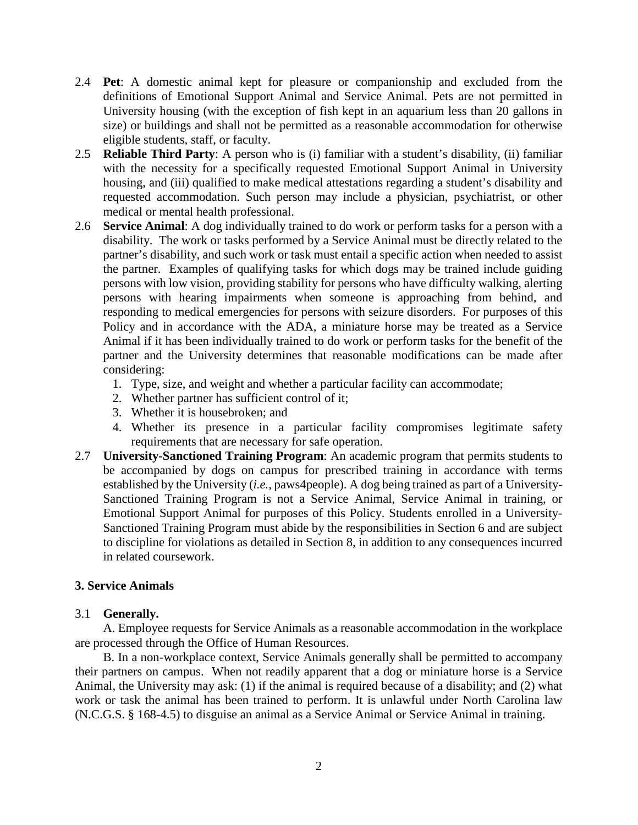- 2.4 **Pet**: A domestic animal kept for pleasure or companionship and excluded from the definitions of Emotional Support Animal and Service Animal. Pets are not permitted in University housing (with the exception of fish kept in an aquarium less than 20 gallons in size) or buildings and shall not be permitted as a reasonable accommodation for otherwise eligible students, staff, or faculty.
- 2.5 **Reliable Third Party**: A person who is (i) familiar with a student's disability, (ii) familiar with the necessity for a specifically requested Emotional Support Animal in University housing, and (iii) qualified to make medical attestations regarding a student's disability and requested accommodation. Such person may include a physician, psychiatrist, or other medical or mental health professional.
- 2.6 **Service Animal**: A dog individually trained to do work or perform tasks for a person with a disability. The work or tasks performed by a Service Animal must be directly related to the partner's disability, and such work or task must entail a specific action when needed to assist the partner. Examples of qualifying tasks for which dogs may be trained include guiding persons with low vision, providing stability for persons who have difficulty walking, alerting persons with hearing impairments when someone is approaching from behind, and responding to medical emergencies for persons with seizure disorders. For purposes of this Policy and in accordance with the ADA, a miniature horse may be treated as a Service Animal if it has been individually trained to do work or perform tasks for the benefit of the partner and the University determines that reasonable modifications can be made after considering:
	- 1. Type, size, and weight and whether a particular facility can accommodate;
	- 2. Whether partner has sufficient control of it;
	- 3. Whether it is housebroken; and
	- 4. Whether its presence in a particular facility compromises legitimate safety requirements that are necessary for safe operation.
- 2.7 **University-Sanctioned Training Program**: An academic program that permits students to be accompanied by dogs on campus for prescribed training in accordance with terms established by the University (*i.e.*, paws4people). A dog being trained as part of a University-Sanctioned Training Program is not a Service Animal, Service Animal in training, or Emotional Support Animal for purposes of this Policy. Students enrolled in a University-Sanctioned Training Program must abide by the responsibilities in Section 6 and are subject to discipline for violations as detailed in Section 8, in addition to any consequences incurred in related coursework.

### **3. Service Animals**

### 3.1 **Generally.**

A. Employee requests for Service Animals as a reasonable accommodation in the workplace are processed through the Office of Human Resources.

B. In a non-workplace context, Service Animals generally shall be permitted to accompany their partners on campus. When not readily apparent that a dog or miniature horse is a Service Animal, the University may ask: (1) if the animal is required because of a disability; and (2) what work or task the animal has been trained to perform. It is unlawful under North Carolina law (N.C.G.S. § 168-4.5) to disguise an animal as a Service Animal or Service Animal in training.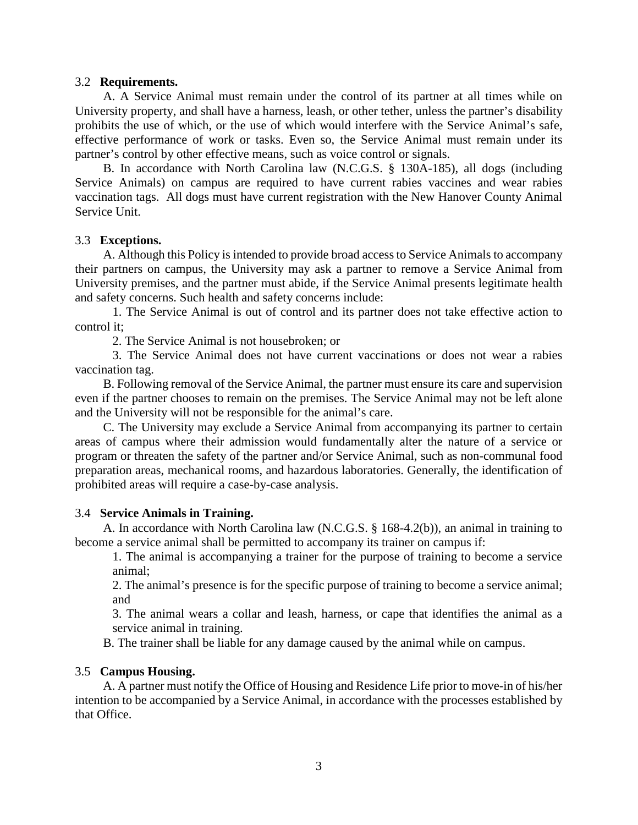### 3.2 **Requirements.**

A. A Service Animal must remain under the control of its partner at all times while on University property, and shall have a harness, leash, or other tether, unless the partner's disability prohibits the use of which, or the use of which would interfere with the Service Animal's safe, effective performance of work or tasks. Even so, the Service Animal must remain under its partner's control by other effective means, such as voice control or signals.

B. In accordance with North Carolina law (N.C.G.S. § 130A-185), all dogs (including Service Animals) on campus are required to have current rabies vaccines and wear rabies vaccination tags. All dogs must have current registration with the New Hanover County Animal Service Unit.

### 3.3 **Exceptions.**

A. Although this Policy is intended to provide broad access to Service Animals to accompany their partners on campus, the University may ask a partner to remove a Service Animal from University premises, and the partner must abide, if the Service Animal presents legitimate health and safety concerns. Such health and safety concerns include:

1. The Service Animal is out of control and its partner does not take effective action to control it;

2. The Service Animal is not housebroken; or

3. The Service Animal does not have current vaccinations or does not wear a rabies vaccination tag.

B. Following removal of the Service Animal, the partner must ensure its care and supervision even if the partner chooses to remain on the premises. The Service Animal may not be left alone and the University will not be responsible for the animal's care.

C. The University may exclude a Service Animal from accompanying its partner to certain areas of campus where their admission would fundamentally alter the nature of a service or program or threaten the safety of the partner and/or Service Animal, such as non-communal food preparation areas, mechanical rooms, and hazardous laboratories. Generally, the identification of prohibited areas will require a case-by-case analysis.

### 3.4 **Service Animals in Training.**

A. In accordance with North Carolina law (N.C.G.S. § 168-4.2(b)), an animal in training to become a service animal shall be permitted to accompany its trainer on campus if:

1. The animal is accompanying a trainer for the purpose of training to become a service animal;

2. The animal's presence is for the specific purpose of training to become a service animal; and

3. The animal wears a collar and leash, harness, or cape that identifies the animal as a service animal in training.

B. The trainer shall be liable for any damage caused by the animal while on campus.

## 3.5 **Campus Housing.**

A. A partner must notify the Office of Housing and Residence Life prior to move-in of his/her intention to be accompanied by a Service Animal, in accordance with the processes established by that Office.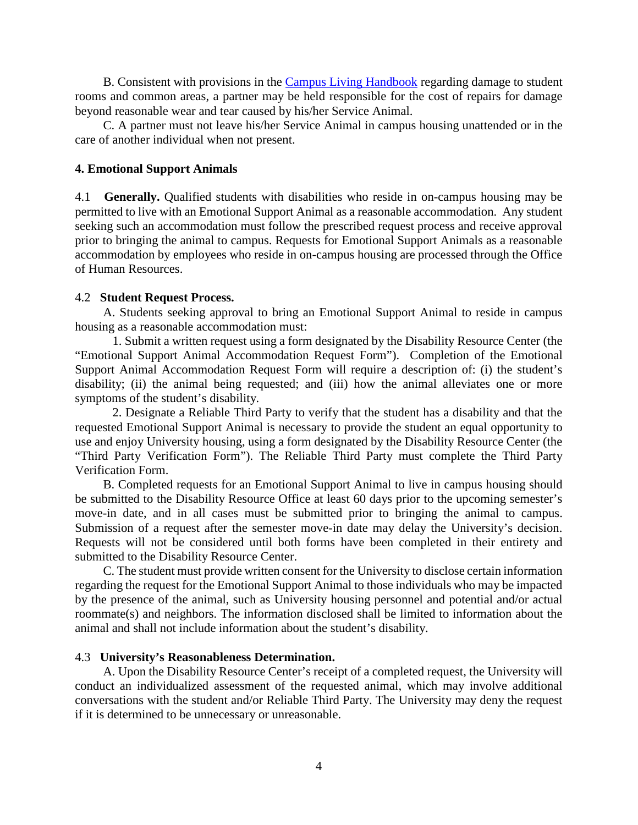B. Consistent with provisions in the [Campus Living Handbook](https://uncw.edu/housing/documents/CampusLivingHandbook.pdf) regarding damage to student rooms and common areas, a partner may be held responsible for the cost of repairs for damage beyond reasonable wear and tear caused by his/her Service Animal.

C. A partner must not leave his/her Service Animal in campus housing unattended or in the care of another individual when not present.

### **4. Emotional Support Animals**

4.1 **Generally.** Qualified students with disabilities who reside in on-campus housing may be permitted to live with an Emotional Support Animal as a reasonable accommodation. Any student seeking such an accommodation must follow the prescribed request process and receive approval prior to bringing the animal to campus. Requests for Emotional Support Animals as a reasonable accommodation by employees who reside in on-campus housing are processed through the Office of Human Resources.

### 4.2 **Student Request Process.**

A. Students seeking approval to bring an Emotional Support Animal to reside in campus housing as a reasonable accommodation must:

1. Submit a written request using a form designated by the Disability Resource Center (the "Emotional Support Animal Accommodation Request Form"). Completion of the Emotional Support Animal Accommodation Request Form will require a description of: (i) the student's disability; (ii) the animal being requested; and (iii) how the animal alleviates one or more symptoms of the student's disability.

2. Designate a Reliable Third Party to verify that the student has a disability and that the requested Emotional Support Animal is necessary to provide the student an equal opportunity to use and enjoy University housing, using a form designated by the Disability Resource Center (the "Third Party Verification Form"). The Reliable Third Party must complete the Third Party Verification Form.

B. Completed requests for an Emotional Support Animal to live in campus housing should be submitted to the Disability Resource Office at least 60 days prior to the upcoming semester's move-in date, and in all cases must be submitted prior to bringing the animal to campus. Submission of a request after the semester move-in date may delay the University's decision. Requests will not be considered until both forms have been completed in their entirety and submitted to the Disability Resource Center.

C. The student must provide written consent for the University to disclose certain information regarding the request for the Emotional Support Animal to those individuals who may be impacted by the presence of the animal, such as University housing personnel and potential and/or actual roommate(s) and neighbors. The information disclosed shall be limited to information about the animal and shall not include information about the student's disability.

#### 4.3 **University's Reasonableness Determination.**

A. Upon the Disability Resource Center's receipt of a completed request, the University will conduct an individualized assessment of the requested animal, which may involve additional conversations with the student and/or Reliable Third Party. The University may deny the request if it is determined to be unnecessary or unreasonable.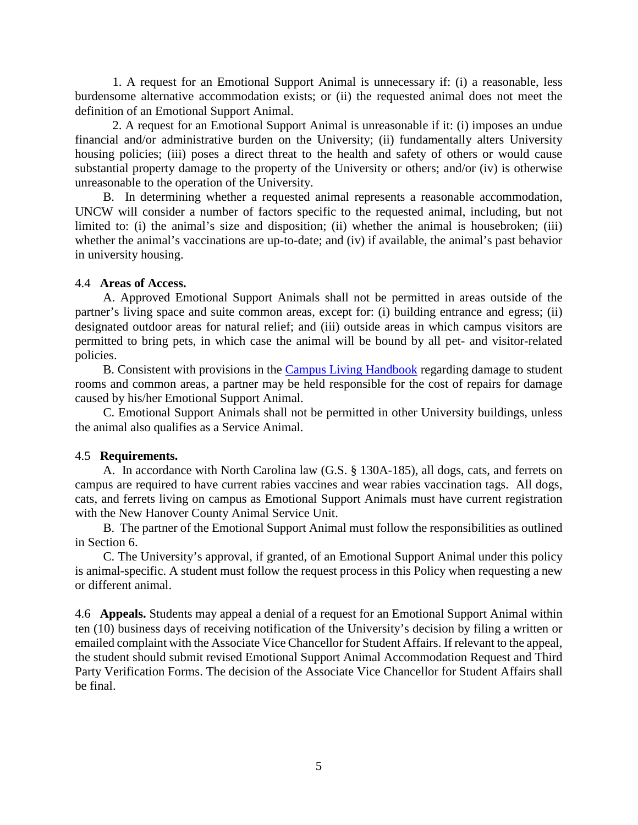1. A request for an Emotional Support Animal is unnecessary if: (i) a reasonable, less burdensome alternative accommodation exists; or (ii) the requested animal does not meet the definition of an Emotional Support Animal.

2. A request for an Emotional Support Animal is unreasonable if it: (i) imposes an undue financial and/or administrative burden on the University; (ii) fundamentally alters University housing policies; (iii) poses a direct threat to the health and safety of others or would cause substantial property damage to the property of the University or others; and/or (iv) is otherwise unreasonable to the operation of the University.

B. In determining whether a requested animal represents a reasonable accommodation, UNCW will consider a number of factors specific to the requested animal, including, but not limited to: (i) the animal's size and disposition; (ii) whether the animal is housebroken; (iii) whether the animal's vaccinations are up-to-date; and (iv) if available, the animal's past behavior in university housing.

### 4.4 **Areas of Access.**

A. Approved Emotional Support Animals shall not be permitted in areas outside of the partner's living space and suite common areas, except for: (i) building entrance and egress; (ii) designated outdoor areas for natural relief; and (iii) outside areas in which campus visitors are permitted to bring pets, in which case the animal will be bound by all pet- and visitor-related policies.

B. Consistent with provisions in the [Campus Living Handbook](https://uncw.edu/housing/documents/CampusLivingHandbook.pdf) regarding damage to student rooms and common areas, a partner may be held responsible for the cost of repairs for damage caused by his/her Emotional Support Animal.

C. Emotional Support Animals shall not be permitted in other University buildings, unless the animal also qualifies as a Service Animal.

### 4.5 **Requirements.**

A. In accordance with North Carolina law (G.S. § 130A-185), all dogs, cats, and ferrets on campus are required to have current rabies vaccines and wear rabies vaccination tags. All dogs, cats, and ferrets living on campus as Emotional Support Animals must have current registration with the New Hanover County Animal Service Unit.

B. The partner of the Emotional Support Animal must follow the responsibilities as outlined in Section 6.

C. The University's approval, if granted, of an Emotional Support Animal under this policy is animal-specific. A student must follow the request process in this Policy when requesting a new or different animal.

4.6 **Appeals.** Students may appeal a denial of a request for an Emotional Support Animal within ten (10) business days of receiving notification of the University's decision by filing a written or emailed complaint with the Associate Vice Chancellor for Student Affairs. If relevant to the appeal, the student should submit revised Emotional Support Animal Accommodation Request and Third Party Verification Forms. The decision of the Associate Vice Chancellor for Student Affairs shall be final.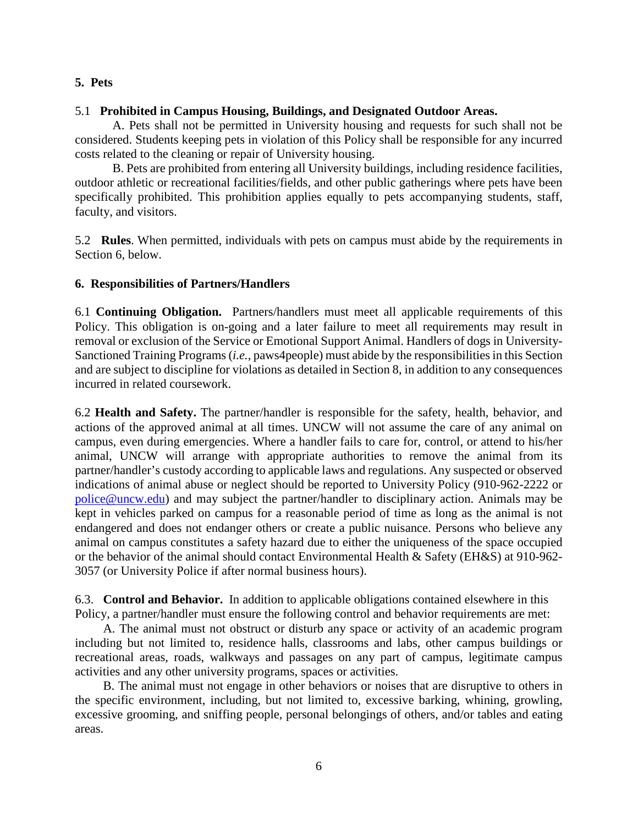# **5. Pets**

## 5.1 **Prohibited in Campus Housing, Buildings, and Designated Outdoor Areas.**

A. Pets shall not be permitted in University housing and requests for such shall not be considered. Students keeping pets in violation of this Policy shall be responsible for any incurred costs related to the cleaning or repair of University housing.

B. Pets are prohibited from entering all University buildings, including residence facilities, outdoor athletic or recreational facilities/fields, and other public gatherings where pets have been specifically prohibited. This prohibition applies equally to pets accompanying students, staff, faculty, and visitors.

5.2 **Rules**. When permitted, individuals with pets on campus must abide by the requirements in Section 6, below.

# **6. Responsibilities of Partners/Handlers**

6.1 **Continuing Obligation.** Partners/handlers must meet all applicable requirements of this Policy. This obligation is on-going and a later failure to meet all requirements may result in removal or exclusion of the Service or Emotional Support Animal. Handlers of dogs in University-Sanctioned Training Programs (*i.e.*, paws4people) must abide by the responsibilities in this Section and are subject to discipline for violations as detailed in Section 8, in addition to any consequences incurred in related coursework.

6.2 **Health and Safety.** The partner/handler is responsible for the safety, health, behavior, and actions of the approved animal at all times. UNCW will not assume the care of any animal on campus, even during emergencies. Where a handler fails to care for, control, or attend to his/her animal, UNCW will arrange with appropriate authorities to remove the animal from its partner/handler's custody according to applicable laws and regulations. Any suspected or observed indications of animal abuse or neglect should be reported to University Policy (910-962-2222 or [police@uncw.edu\)](mailto:police@uncw.edu) and may subject the partner/handler to disciplinary action. Animals may be kept in vehicles parked on campus for a reasonable period of time as long as the animal is not endangered and does not endanger others or create a public nuisance. Persons who believe any animal on campus constitutes a safety hazard due to either the uniqueness of the space occupied or the behavior of the animal should contact Environmental Health & Safety (EH&S) at 910-962- 3057 (or University Police if after normal business hours).

6.3. **Control and Behavior.** In addition to applicable obligations contained elsewhere in this Policy, a partner/handler must ensure the following control and behavior requirements are met:

A. The animal must not obstruct or disturb any space or activity of an academic program including but not limited to, residence halls, classrooms and labs, other campus buildings or recreational areas, roads, walkways and passages on any part of campus, legitimate campus activities and any other university programs, spaces or activities.

B. The animal must not engage in other behaviors or noises that are disruptive to others in the specific environment, including, but not limited to, excessive barking, whining, growling, excessive grooming, and sniffing people, personal belongings of others, and/or tables and eating areas.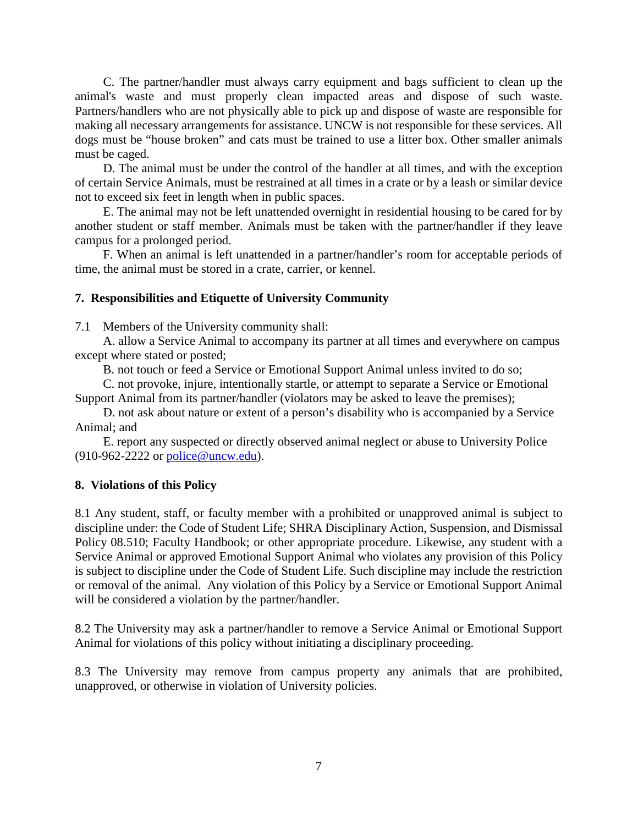C. The partner/handler must always carry equipment and bags sufficient to clean up the animal's waste and must properly clean impacted areas and dispose of such waste. Partners/handlers who are not physically able to pick up and dispose of waste are responsible for making all necessary arrangements for assistance. UNCW is not responsible for these services. All dogs must be "house broken" and cats must be trained to use a litter box. Other smaller animals must be caged.

D. The animal must be under the control of the handler at all times, and with the exception of certain Service Animals, must be restrained at all times in a crate or by a leash or similar device not to exceed six feet in length when in public spaces.

E. The animal may not be left unattended overnight in residential housing to be cared for by another student or staff member. Animals must be taken with the partner/handler if they leave campus for a prolonged period.

F. When an animal is left unattended in a partner/handler's room for acceptable periods of time, the animal must be stored in a crate, carrier, or kennel.

# **7. Responsibilities and Etiquette of University Community**

7.1 Members of the University community shall:

A. allow a Service Animal to accompany its partner at all times and everywhere on campus except where stated or posted;

B. not touch or feed a Service or Emotional Support Animal unless invited to do so;

C. not provoke, injure, intentionally startle, or attempt to separate a Service or Emotional Support Animal from its partner/handler (violators may be asked to leave the premises);

D. not ask about nature or extent of a person's disability who is accompanied by a Service Animal; and

E. report any suspected or directly observed animal neglect or abuse to University Police (910-962-2222 or [police@uncw.edu\)](mailto:police@uncw.edu).

## **8. Violations of this Policy**

8.1 Any student, staff, or faculty member with a prohibited or unapproved animal is subject to discipline under: the Code of Student Life; SHRA Disciplinary Action, Suspension, and Dismissal Policy 08.510; Faculty Handbook; or other appropriate procedure. Likewise, any student with a Service Animal or approved Emotional Support Animal who violates any provision of this Policy is subject to discipline under the Code of Student Life. Such discipline may include the restriction or removal of the animal. Any violation of this Policy by a Service or Emotional Support Animal will be considered a violation by the partner/handler.

8.2 The University may ask a partner/handler to remove a Service Animal or Emotional Support Animal for violations of this policy without initiating a disciplinary proceeding.

8.3 The University may remove from campus property any animals that are prohibited, unapproved, or otherwise in violation of University policies.